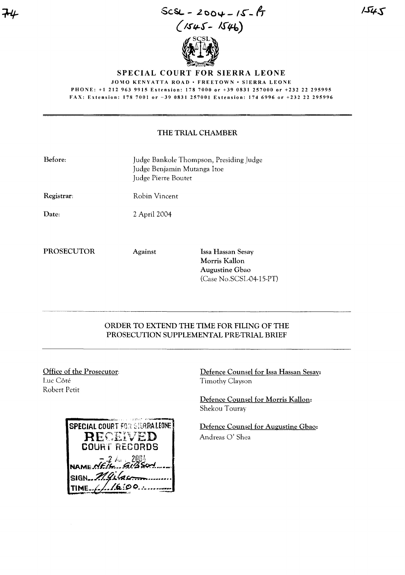ScSL.. - **.z 00""," -** Iso-IT  $(1545 - 1546)$  $\mathscr{U}$ <sup>S</sup> $\hookrightarrow$  $\mathbb{Z}^4$  .

SPECIAL COURT FOR SIERRA LEONE

JOMO KENYATTA ROAD • FREETOWN • SIERRA LEONE PHONE: +1 212 963 9915 Extension: 178 7000 or +39 0831 257000 or +232 22 295995

FAX: Extension: 178 7001 or -39 0831 257001 Extension: 174 6996 or +232 22 295996

## THE TRIAL CHAMBER

| Before:           | Judge Bankole Thompson, Presiding Judge<br>Judge Benjamin Mutanga Itoe<br>Judge Pierre Boutet |                                                                                 |  |  |  |
|-------------------|-----------------------------------------------------------------------------------------------|---------------------------------------------------------------------------------|--|--|--|
| Registrar:        | Robin Vincent                                                                                 |                                                                                 |  |  |  |
| Date:             | 2 April 2004                                                                                  |                                                                                 |  |  |  |
| <b>PROSECUTOR</b> | Against                                                                                       | Issa Hassan Sesay<br>Morris Kallon<br>Augustine Gbao<br>(Case No.SCSL-04-15-PT) |  |  |  |

## ORDER TO EXTEND THE TIME FOR FILING OF THE PROSECUTION SUPPLEMENTAL PRE-TRIAL BRIEF

Office of the Prosecutor: Luc Côté Robert Petit

| <b>SPECIAL COURT FOR STERRALEONE!</b> |
|---------------------------------------|
| RECEIVED                              |
| <b>COURT RECORDS</b>                  |
| NAME NEIS GIBSON                      |
|                                       |
| $sIBN$ M. Gilacom                     |
| TIME $f_2/2.600$                      |

Defence Counsel for Issa Hassan Sesay: Timothy Clayson

Defence Counsel for Morris Kallon: Shekou Touray

Defence Counsel for Augustine Gbao: Andreas 0' Shea